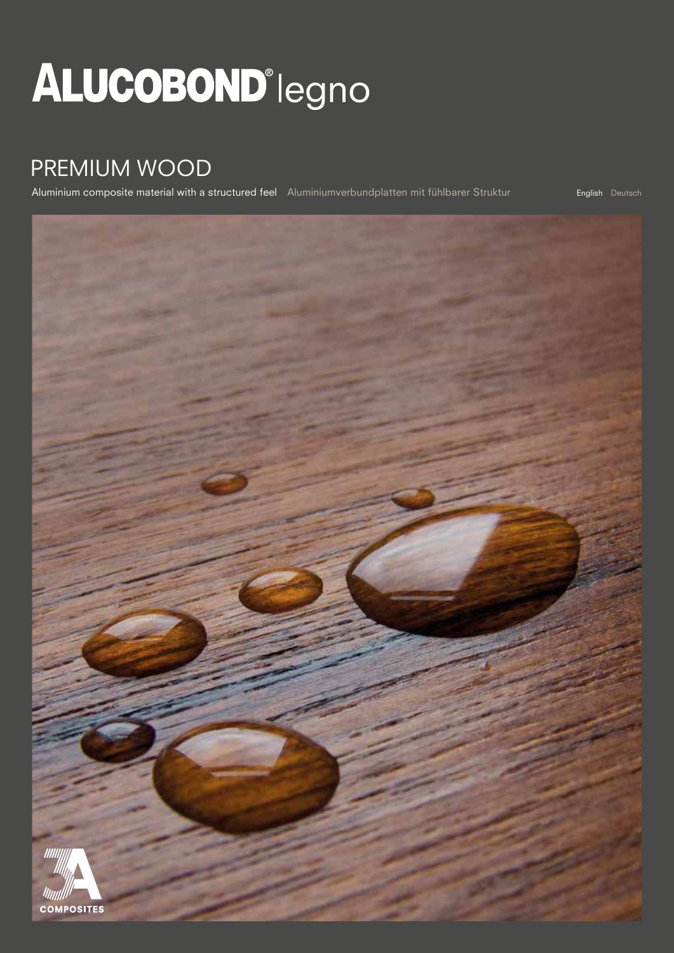# **ALUCOBOND**<sup>°</sup>legno

### PREMIUM WOOD

Aluminium composite material with a structured feel Aluminiumverbundplatten mit fühlbarer Struktur

English Deutsch

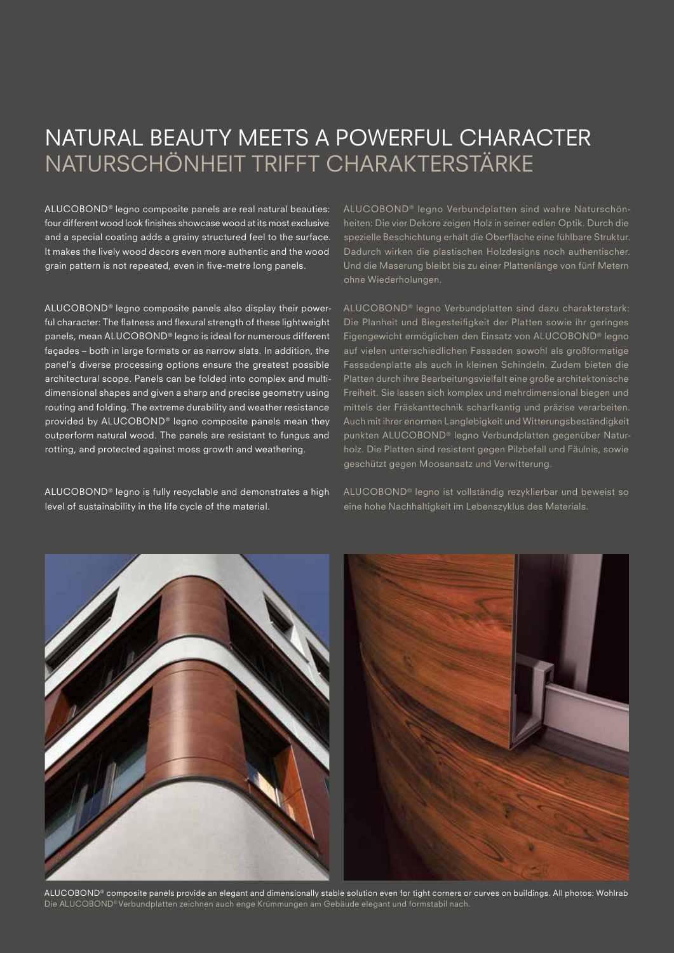### NATURAL BEAUTY MEETS A POWERFUL CHARACTER NATURSCHÖNHEIT TRIFFT CHARAKTERSTÄRKE

ALUCOBOND® legno composite panels are real natural beauties: four different wood look finishes showcase wood at its most exclusive and a special coating adds a grainy structured feel to the surface. It makes the lively wood decors even more authentic and the wood grain pattern is not repeated, even in five-metre long panels.

ALUCOBOND® legno composite panels also display their powerful character: The flatness and flexural strength of these lightweight panels, mean ALUCOBOND® legno is ideal for numerous different façades – both in large formats or as narrow slats. In addition, the panel's diverse processing options ensure the greatest possible architectural scope. Panels can be folded into complex and multidimensional shapes and given a sharp and precise geometry using routing and folding. The extreme durability and weather resistance provided by ALUCOBOND® legno composite panels mean they outperform natural wood. The panels are resistant to fungus and rotting, and protected against moss growth and weathering.

ALUCOBOND® legno is fully recyclable and demonstrates a high level of sustainability in the life cycle of the material.

ALUCOBOND<sup>®</sup> legno Verbundplatten sind wahre Naturschönheiten: Die vier Dekore zeigen Holz in seiner edlen Optik. Durch die spezielle Beschichtung erhält die Oberfläche eine fühlbare Struktur. Dadurch wirken die plastischen Holzdesigns noch authentischer. Und die Maserung bleibt bis zu einer Plattenlänge von fünf Metern ohne Wiederholungen.

ALUCOBOND® legno Verbundplatten sind dazu charakterstark: Die Planheit und Biegesteifigkeit der Platten sowie ihr geringes Eigengewicht ermöglichen den Einsatz von ALUCOBOND® legno auf vielen unterschiedlichen Fassaden sowohl als großformatige Fassadenplatte als auch in kleinen Schindeln. Zudem bieten die Platten durch ihre Bearbeitungsvielfalt eine große architektonische Freiheit. Sie lassen sich komplex und mehrdimensional biegen und mittels der Fräskanttechnik scharfkantig und präzise verarbeiten. Auch mit ihrer enormen Langlebigkeit und Witterungsbeständigkeit punkten ALUCOBOND® legno Verbundplatten gegenüber Naturholz. Die Platten sind resistent gegen Pilzbefall und Fäulnis, sowie geschützt gegen Moosansatz und Verwitterung.

ALUCOBOND® legno ist vollständig rezyklierbar und beweist so eine hohe Nachhaltigkeit im Lebenszyklus des Materials.



ALUCOBOND® composite panels provide an elegant and dimensionally stable solution even for tight corners or curves on buildings. All photos: Wohlrab Die ALUCOBOND® Verbundplatten zeichnen auch enge Krümmungen am Gebäude elegant und formstabil nach.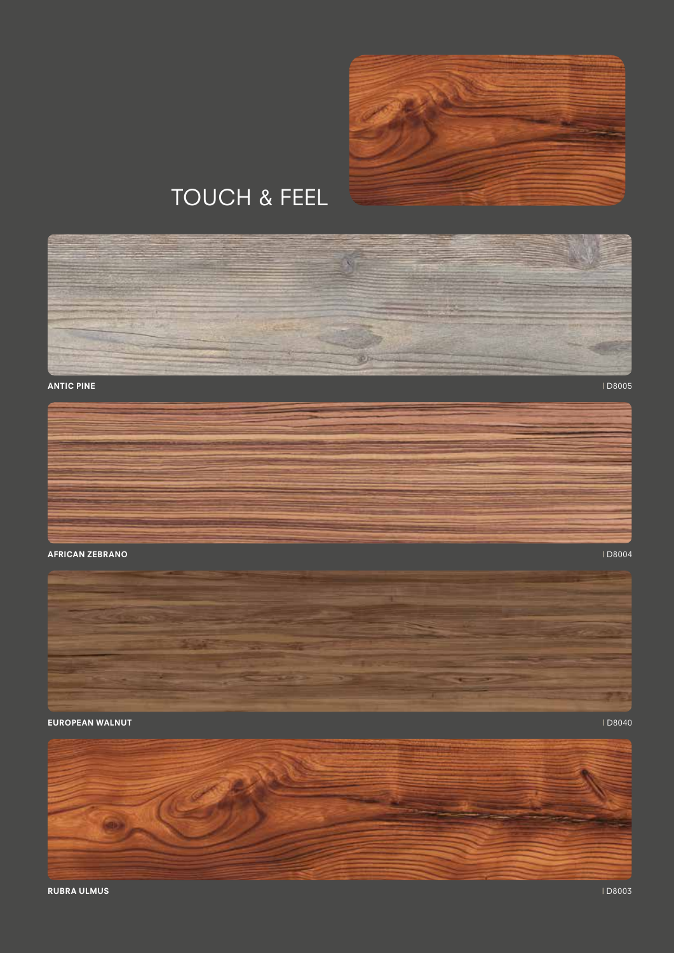

## TOUCH & FEEL



#### ANTIC PINE | D8005



#### erican zebrano di provincia di provincia di provincia di provincia di provincia di provincia di provincia di p<br>D8004



### EUROPEAN WALNUT **International Contract Contract Contract Contract Contract Contract Contract Contract Contract Contract Contract Contract Contract Contract Contract Contract Contract Contract Contract Contract Contract Co**

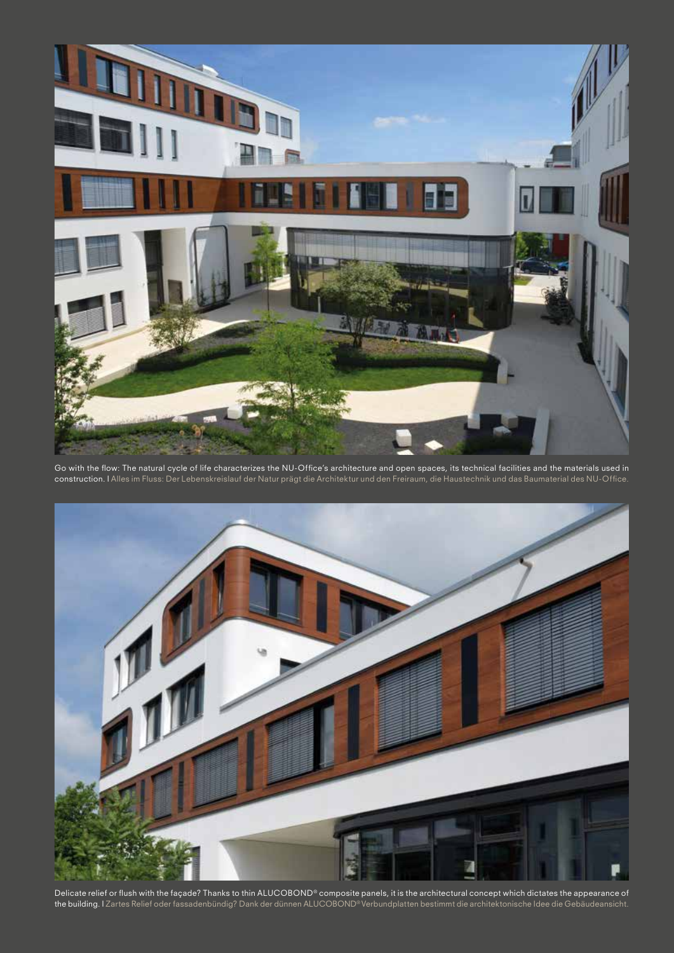

Go with the flow: The natural cycle of life characterizes the NU-Office's architecture and open spaces, its technical facilities and the materials used in construction. I Alles im Fluss: Der Lebenskreislauf der Natur prägt die Architektur und den Freiraum, die Haustechnik und das Baumaterial des NU-Office.



Delicate relief or flush with the façade? Thanks to thin ALUCOBOND® composite panels, it is the architectural concept which dictates the appearance of the building. I Zartes Relief oder fassadenbündig? Dank der dünnen ALUCOBOND® Verbundplatten bestimmt die architektonische Idee die Gebäudeansicht.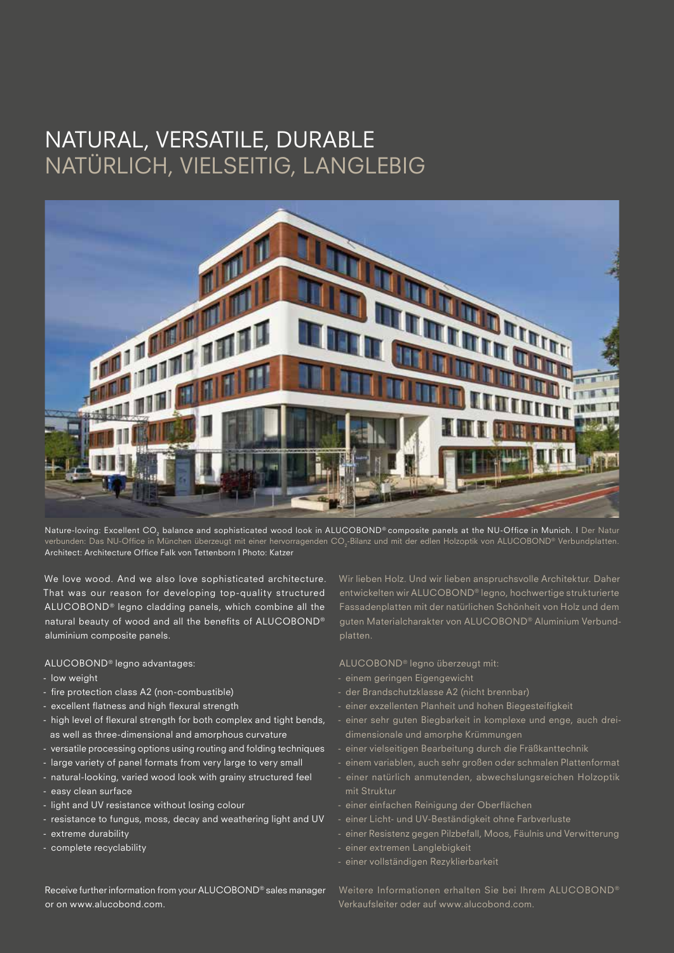### NATURAL, VERSATILE, DURABLE NATÜRLICH, VIELSEITIG, LANGLEBIG



Nature-loving: Excellent CO<sub>2</sub> balance and sophisticated wood look in ALUCOBOND® composite panels at the NU-Office in Munich. I Der Natur verbunden: Das NU-Office in München überzeugt mit einer hervorragenden CO $_2$ -Bilanz und mit der edlen Holzoptik von ALUCOBOND® Verbundplatten. Architect: Architecture Office Falk von Tettenborn I Photo: Katzer

We love wood. And we also love sophisticated architecture. That was our reason for developing top-quality structured ALUCOBOND® legno cladding panels, which combine all the natural beauty of wood and all the benefits of ALUCOBOND® aluminium composite panels.

#### ALUCOBOND® legno advantages:

- low weight
- fire protection class A2 (non-combustible)
- excellent flatness and high flexural strength
- high level of flexural strength for both complex and tight bends, as well as three-dimensional and amorphous curvature
- versatile processing options using routing and folding techniques
- large variety of panel formats from very large to very small
- natural-looking, varied wood look with grainy structured feel
- easy clean surface
- light and UV resistance without losing colour
- resistance to fungus, moss, decay and weathering light and UV
- extreme durability
- complete recyclability

Wir lieben Holz. Und wir lieben anspruchsvolle Architektur. Daher entwickelten wir ALUCOBOND® legno, hochwertige strukturierte Fassadenplatten mit der natürlichen Schönheit von Holz und dem guten Materialcharakter von ALUCOBOND® Aluminium Verbundplatten.

ALUCOBOND® legno überzeugt mit:

- einem geringen Eigengewicht
- der Brandschutzklasse A2 (nicht brennbar)
- einer exzellenten Planheit und hohen Biegesteifigkeit
- einer sehr guten Biegbarkeit in komplexe und enge, auch dreidimensionale und amorphe Krümmungen
- einer vielseitigen Bearbeitung durch die Fräßkanttechnik
- einem variablen, auch sehr großen oder schmalen Plattenformat
- einer natürlich anmutenden, abwechslungsreichen Holzoptik mit Struktur
- einer einfachen Reinigung der Oberflächen
- einer Licht- und UV-Beständigkeit ohne Farbverluste
- einer Resistenz gegen Pilzbefall, Moos, Fäulnis und Verwitterung
- einer extremen Langlebigkeit
- einer vollständigen Rezyklierbarkeit

Receive further information from your ALUCOBOND® sales manager or on www.alucobond.com.

Weitere Informationen erhalten Sie bei Ihrem ALUCOBOND® Verkaufsleiter oder auf www.alucobond.com.